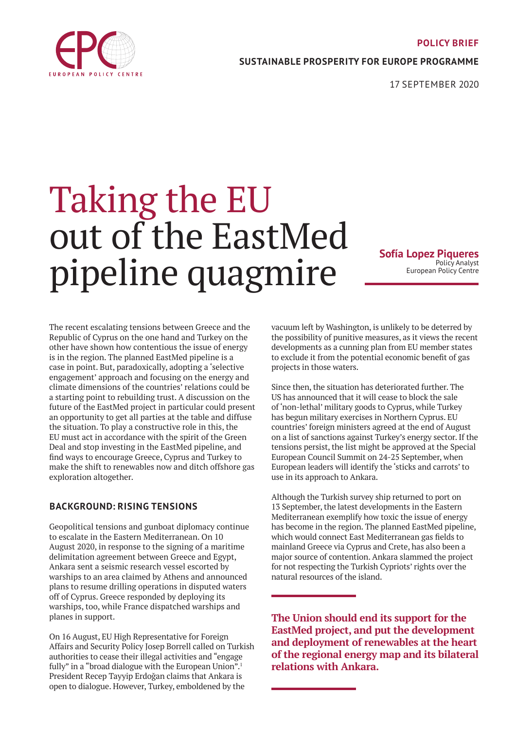

## **SUSTAINABLE PROSPERITY FOR EUROPE PROGRAMME**

17 SEPTEMBER 2020

# Taking the EU out of the EastMed pipeline quagmire

**Sofía Lopez Piqueres** Policy Analyst European Policy Centre

The recent escalating tensions between Greece and the Republic of Cyprus on the one hand and Turkey on the other have shown how contentious the issue of energy is in the region. The planned EastMed pipeline is a case in point. But, paradoxically, adopting a 'selective engagement' approach and focusing on the energy and climate dimensions of the countries' relations could be a starting point to rebuilding trust. A discussion on the future of the EastMed project in particular could present an opportunity to get all parties at the table and diffuse the situation. To play a constructive role in this, the EU must act in accordance with the spirit of the Green Deal and stop investing in the EastMed pipeline, and find ways to encourage Greece, Cyprus and Turkey to make the shift to renewables now and ditch offshore gas exploration altogether.

# **BACKGROUND: RISING TENSIONS**

Geopolitical tensions and gunboat diplomacy continue to escalate in the Eastern Mediterranean. On 10 August 2020, in response to the signing of a maritime delimitation agreement between Greece and Egypt, Ankara sent a seismic research vessel escorted by warships to an area claimed by Athens and announced plans to resume drilling operations in disputed waters off of Cyprus. Greece responded by deploying its warships, too, while France dispatched warships and planes in support.

On 16 August, EU High Representative for Foreign Affairs and Security Policy Josep Borrell called on Turkish authorities to cease their illegal activities and "engage fully" in a "broad dialogue with the European Union".<sup>1</sup> President Recep Tayyip Erdoğan claims that Ankara is open to dialogue. However, Turkey, emboldened by the

vacuum left by Washington, is unlikely to be deterred by the possibility of punitive measures, as it views the recent developments as a cunning plan from EU member states to exclude it from the potential economic benefit of gas projects in those waters.

Since then, the situation has deteriorated further. The US has announced that it will cease to block the sale of 'non-lethal' military goods to Cyprus, while Turkey has begun military exercises in Northern Cyprus. EU countries' foreign ministers agreed at the end of August on a list of sanctions against Turkey's energy sector. If the tensions persist, the list might be approved at the Special European Council Summit on 24-25 September, when European leaders will identify the 'sticks and carrots' to use in its approach to Ankara.

Although the Turkish survey ship returned to port on 13 September, the latest developments in the Eastern Mediterranean exemplify how toxic the issue of energy has become in the region. The planned EastMed pipeline, which would connect East Mediterranean gas fields to mainland Greece via Cyprus and Crete, has also been a major source of contention. Ankara slammed the project for not respecting the Turkish Cypriots' rights over the natural resources of the island.

**The Union should end its support for the EastMed project, and put the development and deployment of renewables at the heart of the regional energy map and its bilateral relations with Ankara.**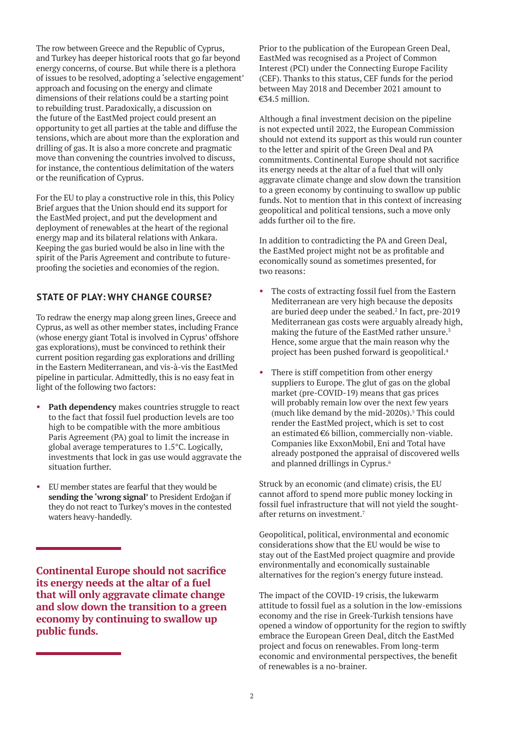The row between Greece and the Republic of Cyprus, and Turkey has deeper historical roots that go far beyond energy concerns, of course. But while there is a plethora of issues to be resolved, adopting a 'selective engagement' approach and focusing on the energy and climate dimensions of their relations could be a starting point to rebuilding trust. Paradoxically, a discussion on the future of the EastMed project could present an opportunity to get all parties at the table and diffuse the tensions, which are about more than the exploration and drilling of gas. It is also a more concrete and pragmatic move than convening the countries involved to discuss, for instance, the contentious delimitation of the waters or the reunification of Cyprus.

For the EU to play a constructive role in this, this Policy Brief argues that the Union should end its support for the EastMed project, and put the development and deployment of renewables at the heart of the regional energy map and its bilateral relations with Ankara. Keeping the gas buried would be also in line with the spirit of the Paris Agreement and contribute to futureproofing the societies and economies of the region.

## **STATE OF PLAY: WHY CHANGE COURSE?**

To redraw the energy map along green lines, Greece and Cyprus, as well as other member states, including France (whose energy giant Total is involved in Cyprus' offshore gas explorations), must be convinced to rethink their current position regarding gas explorations and drilling in the Eastern Mediterranean, and vis-à-vis the EastMed pipeline in particular. Admittedly, this is no easy feat in light of the following two factors:

- Path dependency makes countries struggle to react to the fact that fossil fuel production levels are too high to be compatible with the more ambitious Paris Agreement (PA) goal to limit the increase in global average temperatures to 1.5°C. Logically, investments that lock in gas use would aggravate the situation further.
- EU member states are fearful that they would be **sending the 'wrong signal'** to President Erdoğan if they do not react to Turkey's moves in the contested waters heavy-handedly.

**Continental Europe should not sacrifice its energy needs at the altar of a fuel that will only aggravate climate change and slow down the transition to a green economy by continuing to swallow up public funds.**

Prior to the publication of the European Green Deal, EastMed was recognised as a Project of Common Interest (PCI) under the Connecting Europe Facility (CEF). Thanks to this status, CEF funds for the period between May 2018 and December 2021 amount to €34.5 million.

Although a final investment decision on the pipeline is not expected until 2022, the European Commission should not extend its support as this would run counter to the letter and spirit of the Green Deal and PA commitments. Continental Europe should not sacrifice its energy needs at the altar of a fuel that will only aggravate climate change and slow down the transition to a green economy by continuing to swallow up public funds. Not to mention that in this context of increasing geopolitical and political tensions, such a move only adds further oil to the fire.

In addition to contradicting the PA and Green Deal, the EastMed project might not be as profitable and economically sound as sometimes presented, for two reasons:

- The costs of extracting fossil fuel from the Eastern Mediterranean are very high because the deposits are buried deep under the seabed.<sup>2</sup> In fact, pre-2019 Mediterranean gas costs were arguably already high, making the future of the EastMed rather unsure.<sup>3</sup> Hence, some argue that the main reason why the project has been pushed forward is geopolitical.<sup>4</sup>
- There is stiff competition from other energy suppliers to Europe. The glut of gas on the global market (pre-COVID-19) means that gas prices will probably remain low over the next few years (much like demand by the mid-2020s). $5$  This could render the EastMed project, which is set to cost an estimated €6 billion, commercially non-viable. Companies like ExxonMobil, Eni and Total have already postponed the appraisal of discovered wells and planned drillings in Cyprus.<sup>6</sup>

Struck by an economic (and climate) crisis, the EU cannot afford to spend more public money locking in fossil fuel infrastructure that will not yield the soughtafter returns on investment.7

Geopolitical, political, environmental and economic considerations show that the EU would be wise to stay out of the EastMed project quagmire and provide environmentally and economically sustainable alternatives for the region's energy future instead.

The impact of the COVID-19 crisis, the lukewarm attitude to fossil fuel as a solution in the low-emissions economy and the rise in Greek-Turkish tensions have opened a window of opportunity for the region to swiftly embrace the European Green Deal, ditch the EastMed project and focus on renewables. From long-term economic and environmental perspectives, the benefit of renewables is a no-brainer.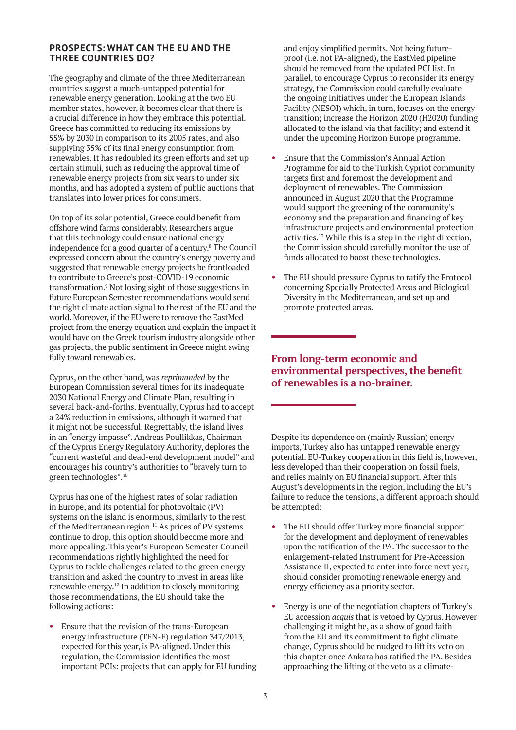#### **PROSPECTS: WHAT CAN THE EU AND THE THREE COUNTRIES DO?**

The geography and climate of the three Mediterranean countries suggest a much-untapped potential for renewable energy generation. Looking at the two EU member states, however, it becomes clear that there is a crucial difference in how they embrace this potential. Greece has committed to reducing its emissions by 55% by 2030 in comparison to its 2005 rates, and also supplying 35% of its final energy consumption from renewables. It has redoubled its green efforts and set up certain stimuli, such as reducing the approval time of renewable energy projects from six years to under six months, and has adopted a system of public auctions that translates into lower prices for consumers.

On top of its solar potential, Greece could benefit from offshore wind farms considerably. Researchers argue that this technology could ensure national energy independence for a good quarter of a century.8 The Council expressed concern about the country's energy poverty and suggested that renewable energy projects be frontloaded to contribute to Greece's post-COVID-19 economic transformation.9 Not losing sight of those suggestions in future European Semester recommendations would send the right climate action signal to the rest of the EU and the world. Moreover, if the EU were to remove the EastMed project from the energy equation and explain the impact it would have on the Greek tourism industry alongside other gas projects, the public sentiment in Greece might swing fully toward renewables.

Cyprus, on the other hand, was *reprimanded* by the European Commission several times for its inadequate 2030 National Energy and Climate Plan, resulting in several back-and-forths. Eventually, Cyprus had to accept a 24% reduction in emissions, although it warned that it might not be successful. Regrettably, the island lives in an "energy impasse". Andreas Poullikkas, Chairman of the Cyprus Energy Regulatory Authority, deplores the "current wasteful and dead-end development model" and encourages his country's authorities to "bravely turn to green technologies".10

Cyprus has one of the highest rates of solar radiation in Europe, and its potential for photovoltaic (PV) systems on the island is enormous, similarly to the rest of the Mediterranean region.<sup>11</sup> As prices of PV systems continue to drop, this option should become more and more appealing. This year's European Semester Council recommendations rightly highlighted the need for Cyprus to tackle challenges related to the green energy transition and asked the country to invest in areas like renewable energy.12 In addition to closely monitoring those recommendations, the EU should take the following actions:

• Ensure that the revision of the trans-European energy infrastructure (TEN-E) regulation 347/2013, expected for this year, is PA-aligned. Under this regulation, the Commission identifies the most important PCIs: projects that can apply for EU funding and enjoy simplified permits. Not being futureproof (i.e. not PA-aligned), the EastMed pipeline should be removed from the updated PCI list. In parallel, to encourage Cyprus to reconsider its energy strategy, the Commission could carefully evaluate the ongoing initiatives under the European Islands Facility (NESOI) which, in turn, focuses on the energy transition; increase the Horizon 2020 (H2020) funding allocated to the island via that facility; and extend it under the upcoming Horizon Europe programme.

- Ensure that the Commission's Annual Action Programme for aid to the Turkish Cypriot community targets first and foremost the development and deployment of renewables. The Commission announced in August 2020 that the Programme would support the greening of the community's economy and the preparation and financing of key infrastructure projects and environmental protection activities.13 While this is a step in the right direction, the Commission should carefully monitor the use of funds allocated to boost these technologies.
- The EU should pressure Cyprus to ratify the Protocol concerning Specially Protected Areas and Biological Diversity in the Mediterranean, and set up and promote protected areas.

# **From long-term economic and environmental perspectives, the benefit of renewables is a no-brainer.**

Despite its dependence on (mainly Russian) energy imports, Turkey also has untapped renewable energy potential. EU-Turkey cooperation in this field is, however, less developed than their cooperation on fossil fuels, and relies mainly on EU financial support. After this August's developments in the region, including the EU's failure to reduce the tensions, a different approach should be attempted:

- The EU should offer Turkey more financial support for the development and deployment of renewables upon the ratification of the PA. The successor to the enlargement-related Instrument for Pre-Accession Assistance II, expected to enter into force next year, should consider promoting renewable energy and energy efficiency as a priority sector.
- Energy is one of the negotiation chapters of Turkey's EU accession *acquis* that is vetoed by Cyprus. However challenging it might be, as a show of good faith from the EU and its commitment to fight climate change, Cyprus should be nudged to lift its veto on this chapter once Ankara has ratified the PA. Besides approaching the lifting of the veto as a climate-